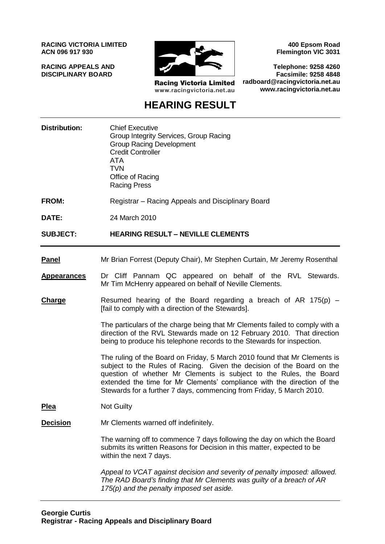**RACING VICTORIA LIMITED ACN 096 917 930**

**RACING APPEALS AND DISCIPLINARY BOARD**



**Racing Victoria Limited** www.racingvictoria.net.au

**400 Epsom Road Flemington VIC 3031**

**Telephone: 9258 4260 Facsimile: 9258 4848 radboard@racingvictoria.net.au www.racingvictoria.net.au**

# **HEARING RESULT**

| <b>Distribution:</b> | <b>Chief Executive</b><br>Group Integrity Services, Group Racing<br><b>Group Racing Development</b><br><b>Credit Controller</b><br><b>ATA</b><br><b>TVN</b><br>Office of Racing<br><b>Racing Press</b>                                                                                                                                                                       |
|----------------------|------------------------------------------------------------------------------------------------------------------------------------------------------------------------------------------------------------------------------------------------------------------------------------------------------------------------------------------------------------------------------|
| <b>FROM:</b>         | Registrar - Racing Appeals and Disciplinary Board                                                                                                                                                                                                                                                                                                                            |
| DATE:                | 24 March 2010                                                                                                                                                                                                                                                                                                                                                                |
| <b>SUBJECT:</b>      | <b>HEARING RESULT – NEVILLE CLEMENTS</b>                                                                                                                                                                                                                                                                                                                                     |
| <b>Panel</b>         | Mr Brian Forrest (Deputy Chair), Mr Stephen Curtain, Mr Jeremy Rosenthal                                                                                                                                                                                                                                                                                                     |
| <b>Appearances</b>   | Dr Cliff Pannam QC appeared on behalf of the RVL Stewards.<br>Mr Tim McHenry appeared on behalf of Neville Clements.                                                                                                                                                                                                                                                         |
| <b>Charge</b>        | Resumed hearing of the Board regarding a breach of AR 175(p) $-$<br>[fail to comply with a direction of the Stewards].                                                                                                                                                                                                                                                       |
|                      | The particulars of the charge being that Mr Clements failed to comply with a<br>direction of the RVL Stewards made on 12 February 2010. That direction<br>being to produce his telephone records to the Stewards for inspection.                                                                                                                                             |
|                      | The ruling of the Board on Friday, 5 March 2010 found that Mr Clements is<br>subject to the Rules of Racing. Given the decision of the Board on the<br>question of whether Mr Clements is subject to the Rules, the Board<br>extended the time for Mr Clements' compliance with the direction of the<br>Stewards for a further 7 days, commencing from Friday, 5 March 2010. |
| <b>Plea</b>          | <b>Not Guilty</b>                                                                                                                                                                                                                                                                                                                                                            |
| <b>Decision</b>      | Mr Clements warned off indefinitely.                                                                                                                                                                                                                                                                                                                                         |
|                      | The warning off to commence 7 days following the day on which the Board<br>submits its written Reasons for Decision in this matter, expected to be<br>within the next 7 days.                                                                                                                                                                                                |
|                      | Appeal to VCAT against decision and severity of penalty imposed: allowed.<br>The RAD Board's finding that Mr Clements was guilty of a breach of AR<br>175(p) and the penalty imposed set aside.                                                                                                                                                                              |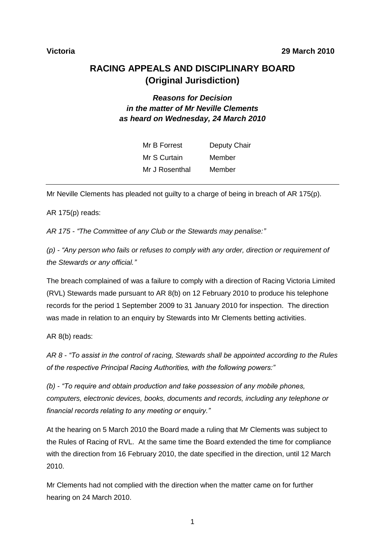**Victoria 29 March 2010**

# **RACING APPEALS AND DISCIPLINARY BOARD (Original Jurisdiction)**

# *Reasons for Decision in the matter of Mr Neville Clements as heard on Wednesday, 24 March 2010*

| Mr B Forrest   | Deputy Chair |
|----------------|--------------|
| Mr S Curtain   | Member       |
| Mr J Rosenthal | Member       |

Mr Neville Clements has pleaded not guilty to a charge of being in breach of AR 175(p).

AR 175(p) reads:

*AR 175 - "The Committee of any Club or the Stewards may penalise:"*

*(p) - "Any person who fails or refuses to comply with any order, direction or requirement of the Stewards or any official."*

The breach complained of was a failure to comply with a direction of Racing Victoria Limited (RVL) Stewards made pursuant to AR 8(b) on 12 February 2010 to produce his telephone records for the period 1 September 2009 to 31 January 2010 for inspection. The direction was made in relation to an enquiry by Stewards into Mr Clements betting activities.

AR 8(b) reads:

*AR 8 - "To assist in the control of racing, Stewards shall be appointed according to the Rules of the respective Principal Racing Authorities, with the following powers:"*

*(b) - "To require and obtain production and take possession of any mobile phones, computers, electronic devices, books, documents and records, including any telephone or financial records relating to any meeting or enquiry."*

At the hearing on 5 March 2010 the Board made a ruling that Mr Clements was subject to the Rules of Racing of RVL. At the same time the Board extended the time for compliance with the direction from 16 February 2010, the date specified in the direction, until 12 March 2010.

Mr Clements had not complied with the direction when the matter came on for further hearing on 24 March 2010.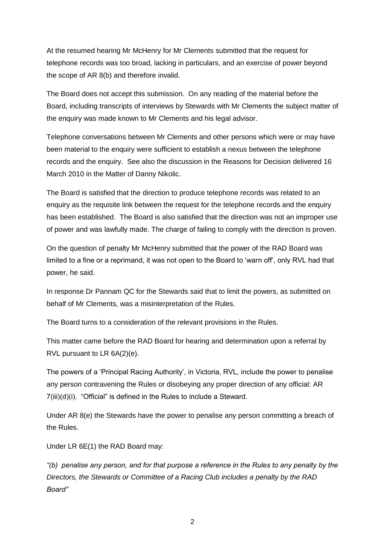At the resumed hearing Mr McHenry for Mr Clements submitted that the request for telephone records was too broad, lacking in particulars, and an exercise of power beyond the scope of AR 8(b) and therefore invalid.

The Board does not accept this submission. On any reading of the material before the Board, including transcripts of interviews by Stewards with Mr Clements the subject matter of the enquiry was made known to Mr Clements and his legal advisor.

Telephone conversations between Mr Clements and other persons which were or may have been material to the enquiry were sufficient to establish a nexus between the telephone records and the enquiry. See also the discussion in the Reasons for Decision delivered 16 March 2010 in the Matter of Danny Nikolic.

The Board is satisfied that the direction to produce telephone records was related to an enquiry as the requisite link between the request for the telephone records and the enquiry has been established. The Board is also satisfied that the direction was not an improper use of power and was lawfully made. The charge of failing to comply with the direction is proven.

On the question of penalty Mr McHenry submitted that the power of the RAD Board was limited to a fine or a reprimand, it was not open to the Board to "warn off", only RVL had that power, he said.

In response Dr Pannam QC for the Stewards said that to limit the powers, as submitted on behalf of Mr Clements, was a misinterpretation of the Rules.

The Board turns to a consideration of the relevant provisions in the Rules.

This matter came before the RAD Board for hearing and determination upon a referral by RVL pursuant to LR 6A(2)(e).

The powers of a "Principal Racing Authority", in Victoria, RVL, include the power to penalise any person contravening the Rules or disobeying any proper direction of any official: AR 7(iii)(d)(i). "Official" is defined in the Rules to include a Steward.

Under AR 8(e) the Stewards have the power to penalise any person committing a breach of the Rules.

Under LR 6E(1) the RAD Board may:

*"(b) penalise any person, and for that purpose a reference in the Rules to any penalty by the Directors, the Stewards or Committee of a Racing Club includes a penalty by the RAD Board"*

2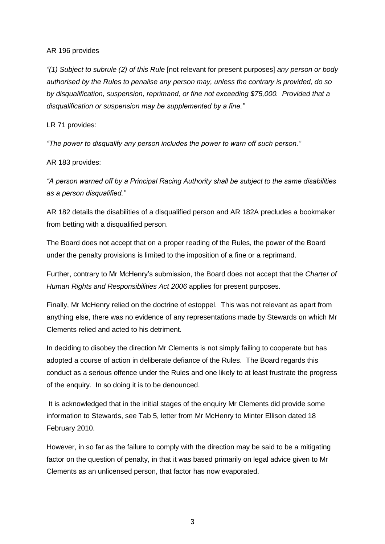#### AR 196 provides

*"(1) Subject to subrule (2) of this Rule* [not relevant for present purposes] *any person or body authorised by the Rules to penalise any person may, unless the contrary is provided, do so by disqualification, suspension, reprimand, or fine not exceeding \$75,000. Provided that a disqualification or suspension may be supplemented by a fine."*

### LR 71 provides:

*"The power to disqualify any person includes the power to warn off such person."*

## AR 183 provides:

*"A person warned off by a Principal Racing Authority shall be subject to the same disabilities as a person disqualified."*

AR 182 details the disabilities of a disqualified person and AR 182A precludes a bookmaker from betting with a disqualified person.

The Board does not accept that on a proper reading of the Rules, the power of the Board under the penalty provisions is limited to the imposition of a fine or a reprimand.

Further, contrary to Mr McHenry"s submission, the Board does not accept that the *Charter of Human Rights and Responsibilities Act 2006* applies for present purposes.

Finally, Mr McHenry relied on the doctrine of estoppel. This was not relevant as apart from anything else, there was no evidence of any representations made by Stewards on which Mr Clements relied and acted to his detriment.

In deciding to disobey the direction Mr Clements is not simply failing to cooperate but has adopted a course of action in deliberate defiance of the Rules. The Board regards this conduct as a serious offence under the Rules and one likely to at least frustrate the progress of the enquiry. In so doing it is to be denounced.

It is acknowledged that in the initial stages of the enquiry Mr Clements did provide some information to Stewards, see Tab 5, letter from Mr McHenry to Minter Ellison dated 18 February 2010.

However, in so far as the failure to comply with the direction may be said to be a mitigating factor on the question of penalty, in that it was based primarily on legal advice given to Mr Clements as an unlicensed person, that factor has now evaporated.

3